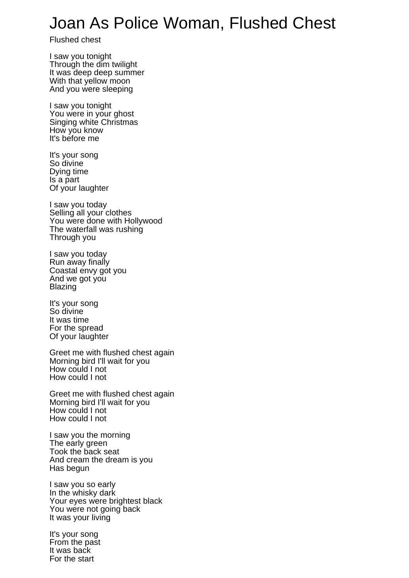## Joan As Police Woman, Flushed Chest

Flushed chest

I saw you tonight Through the dim twilight It was deep deep summer With that yellow moon And you were sleeping

I saw you tonight You were in your ghost Singing white Christmas How you know It's before me

It's your song So divine Dying time Is a part Of your laughter

I saw you today Selling all your clothes You were done with Hollywood The waterfall was rushing Through you

I saw you today Run away finally Coastal envy got you And we got you Blazing

It's your song So divine It was time For the spread Of your laughter

Greet me with flushed chest again Morning bird I'll wait for you How could I not How could I not

Greet me with flushed chest again Morning bird I'll wait for you How could I not How could I not

I saw you the morning The early green Took the back seat And cream the dream is you Has begun

I saw you so early In the whisky dark Your eyes were brightest black You were not going back It was your living

It's your song From the past It was back For the start